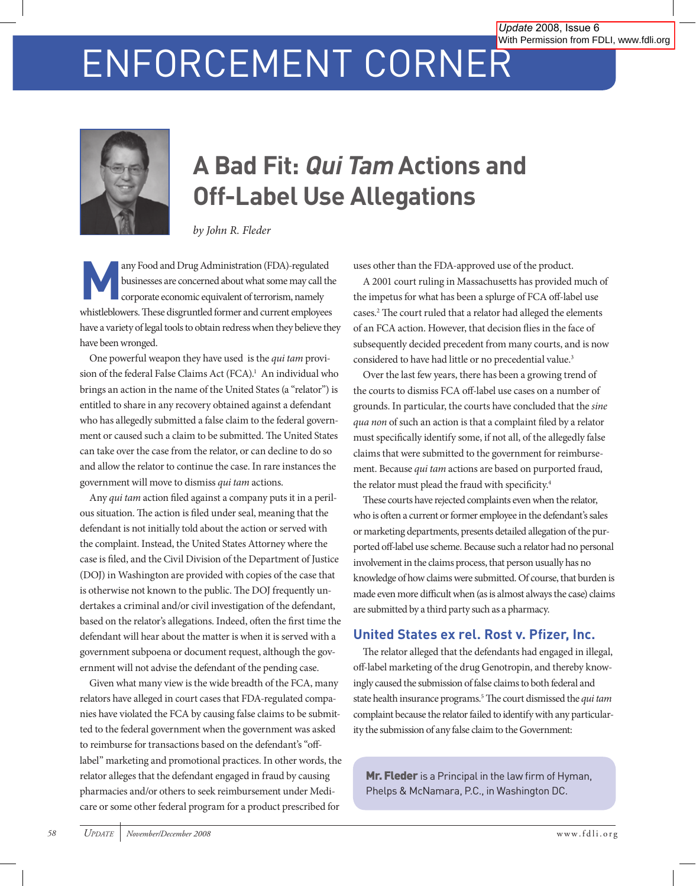# ENFORCEMENT CORNER



# **A Bad Fit: Qui Tam Actions and Off-Label Use Allegations**

*by John R. Fleder*

**Many Food and Drug Administration (FDA)-regulated<br>businesses are concerned about what some may call the corporate economic equivalent of terrorism, namely** businesses are concerned about what some may call the corporate economic equivalent of terrorism, namely whistleblowers. These disgruntled former and current employees have a variety of legal tools to obtain redress when they believe they have been wronged.

One powerful weapon they have used is the *qui tam* provision of the federal False Claims Act (FCA).<sup>1</sup> An individual who brings an action in the name of the United States (a "relator") is entitled to share in any recovery obtained against a defendant who has allegedly submitted a false claim to the federal government or caused such a claim to be submitted. The United States can take over the case from the relator, or can decline to do so and allow the relator to continue the case. In rare instances the government will move to dismiss *qui tam* actions.

Any *qui tam* action filed against a company puts it in a perilous situation. The action is filed under seal, meaning that the defendant is not initially told about the action or served with the complaint. Instead, the United States Attorney where the case is filed, and the Civil Division of the Department of Justice (DOJ) in Washington are provided with copies of the case that is otherwise not known to the public. The DOJ frequently undertakes a criminal and/or civil investigation of the defendant, based on the relator's allegations. Indeed, often the first time the defendant will hear about the matter is when it is served with a government subpoena or document request, although the government will not advise the defendant of the pending case.

Given what many view is the wide breadth of the FCA, many relators have alleged in court cases that FDA-regulated companies have violated the FCA by causing false claims to be submitted to the federal government when the government was asked to reimburse for transactions based on the defendant's "offlabel" marketing and promotional practices. In other words, the relator alleges that the defendant engaged in fraud by causing pharmacies and/or others to seek reimbursement under Medicare or some other federal program for a product prescribed for

uses other than the FDA-approved use of the product.

A 2001 court ruling in Massachusetts has provided much of the impetus for what has been a splurge of FCA off-label use cases.2 The court ruled that a relator had alleged the elements of an FCA action. However, that decision flies in the face of subsequently decided precedent from many courts, and is now considered to have had little or no precedential value.<sup>3</sup>

Over the last few years, there has been a growing trend of the courts to dismiss FCA off-label use cases on a number of grounds. In particular, the courts have concluded that the *sine qua non* of such an action is that a complaint filed by a relator must specifically identify some, if not all, of the allegedly false claims that were submitted to the government for reimbursement. Because *qui tam* actions are based on purported fraud, the relator must plead the fraud with specificity.<sup>4</sup>

These courts have rejected complaints even when the relator, who is often a current or former employee in the defendant's sales or marketing departments, presents detailed allegation of the purported off-label use scheme. Because such a relator had no personal involvement in the claims process, that person usually has no knowledge of how claims were submitted. Of course, that burden is made even more difficult when (as is almost always the case) claims are submitted by a third party such as a pharmacy.

# **United States ex rel. Rost v. Pfizer, Inc.**

The relator alleged that the defendants had engaged in illegal, off-label marketing of the drug Genotropin, and thereby knowingly caused the submission of false claims to both federal and state health insurance programs.5 The court dismissed the *qui tam* complaint because the relator failed to identify with any particularity the submission of any false claim to the Government:

Mr. Fleder is a Principal in the law firm of Hyman, Phelps & McNamara, P.C., in Washington DC.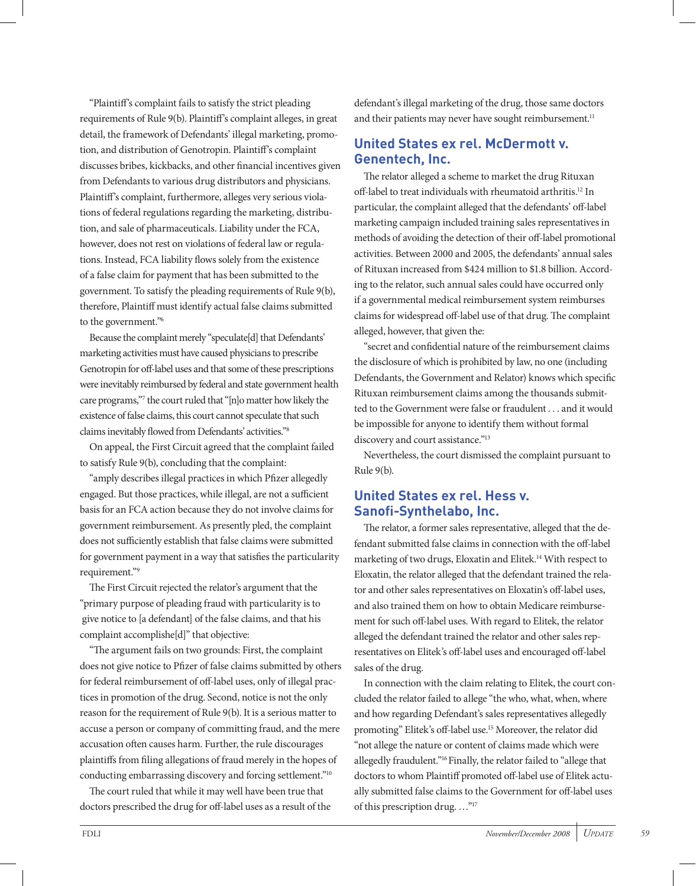"Plaintiff's complaint fails to satisfy the strict pleading requirements of Rule 9(b). Plaintiff's complaint alleges, in great detail, the framework of Defendants' illegal marketing, promotion, and distribution of Genotropin. Plaintiff's complaint discusses bribes, kickbacks, and other financial incentives given from Defendants to various drug distributors and physicians. Plaintiff's complaint, furthermore, alleges very serious violations of federal regulations regarding the marketing, distribution, and sale of pharmaceuticals. Liability under the FCA, however, does not rest on violations of federal law or regulations. Instead, FCA liability flows solely from the existence of a false claim for payment that has been submitted to the government. To satisfy the pleading requirements of Rule 9(b), therefore, Plaintiff must identify actual false claims submitted to the government."6

Because the complaint merely "speculate[d] that Defendants' marketing activities must have caused physicians to prescribe Genotropin for off-label uses and that some of these prescriptions were inevitably reimbursed by federal and state government health care programs,"7 the court ruled that "[n]o matter how likely the existence of false claims, this court cannot speculate that such claims inevitably flowed from Defendants' activities."8

On appeal, the First Circuit agreed that the complaint failed to satisfy Rule 9(b), concluding that the complaint:

"amply describes illegal practices in which Pfizer allegedly engaged. But those practices, while illegal, are not a sufficient basis for an FCA action because they do not involve claims for government reimbursement. As presently pled, the complaint does not sufficiently establish that false claims were submitted for government payment in a way that satisfies the particularity requirement."9

The First Circuit rejected the relator's argument that the "primary purpose of pleading fraud with particularity is to give notice to [a defendant] of the false claims, and that his complaint accomplishe[d]" that objective:

"The argument fails on two grounds: First, the complaint does not give notice to Pfizer of false claims submitted by others for federal reimbursement of off-label uses, only of illegal practices in promotion of the drug. Second, notice is not the only reason for the requirement of Rule 9(b). It is a serious matter to accuse a person or company of committing fraud, and the mere accusation often causes harm. Further, the rule discourages plaintiffs from filing allegations of fraud merely in the hopes of conducting embarrassing discovery and forcing settlement."10

The court ruled that while it may well have been true that doctors prescribed the drug for off-label uses as a result of the defendant's illegal marketing of the drug, those same doctors and their patients may never have sought reimbursement.<sup>11</sup>

#### **United States ex rel. McDermott v. Genentech, Inc.**

The relator alleged a scheme to market the drug Rituxan off-label to treat individuals with rheumatoid arthritis.<sup>12</sup> In particular, the complaint alleged that the defendants' off-label marketing campaign included training sales representatives in methods of avoiding the detection of their off-label promotional activities. Between 2000 and 2005, the defendants' annual sales of Rituxan increased from \$424 million to \$1.8 billion. According to the relator, such annual sales could have occurred only if a governmental medical reimbursement system reimburses claims for widespread off-label use of that drug. The complaint alleged, however, that given the:

"secret and confidential nature of the reimbursement claims the disclosure of which is prohibited by law, no one (including Defendants, the Government and Relator) knows which specific Rituxan reimbursement claims among the thousands submitted to the Government were false or fraudulent . . . and it would be impossible for anyone to identify them without formal discovery and court assistance."13

Nevertheless, the court dismissed the complaint pursuant to Rule 9(b).

#### **United States ex rel. Hess v. Sanofi-Synthelabo, Inc.**

The relator, a former sales representative, alleged that the defendant submitted false claims in connection with the off-label marketing of two drugs, Eloxatin and Elitek.<sup>14</sup> With respect to Eloxatin, the relator alleged that the defendant trained the relator and other sales representatives on Eloxatin's off-label uses, and also trained them on how to obtain Medicare reimbursement for such off-label uses. With regard to Elitek, the relator alleged the defendant trained the relator and other sales representatives on Elitek's off-label uses and encouraged off-label sales of the drug.

In connection with the claim relating to Elitek, the court concluded the relator failed to allege "the who, what, when, where and how regarding Defendant's sales representatives allegedly promoting" Elitek's off-label use.15 Moreover, the relator did "not allege the nature or content of claims made which were allegedly fraudulent."16 Finally, the relator failed to "allege that doctors to whom Plaintiff promoted off-label use of Elitek actually submitted false claims to the Government for off-label uses of this prescription drug. …"17